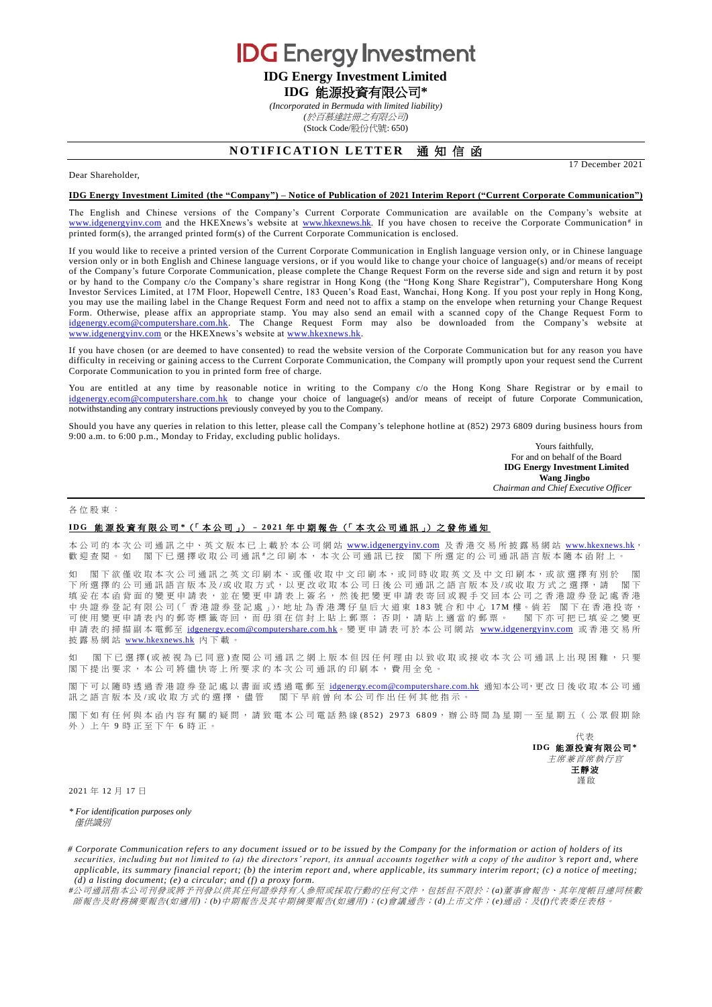**IDG** Energy Investment

# **IDG Energy Investment Limited IDG** 能源投資有限公司**\***

*(Incorporated in Bermuda with limited liability) (*於百慕達註冊之有限公司*)* (Stock Code/股份代號: 650)

## **NOTIFICATION LETTER 通知信函**

Dear Shareholder,

#### **IDG Energy Investment Limited (the "Company") – Notice of Publication of 2021 Interim Report ("Current Corporate Communication")**

The English and Chinese versions of the Company's Current Corporate Communication are available on the Company's website at [www.idgenergyinv.com](http://www.idgenergyinv.com/) and the HKEXnews's website at [www.hkexnews.hk.](http://www.hkexnews.hk/) If you have chosen to receive the Corporate Communication<sup>#</sup> in printed form(s), the arranged printed form(s) of the Current Corporate Communication is enclosed.

If you would like to receive a printed version of the Current Corporate Communication in English language version only, or in Chinese language version only or in both English and Chinese language versions, or if you would like to change your choice of language(s) and/or means of receipt of the Company's future Corporate Communication, please complete the Change Request Form on the reverse side and sign and return it by post or by hand to the Company c/o the Company's share registrar in Hong Kong (the "Hong Kong Share Registrar"), Computershare Hong Kong Investor Services Limited, at 17M Floor, Hopewell Centre, 183 Queen's Road East, Wanchai, Hong Kong. If you post your reply in Hong Kong, you may use the mailing label in the Change Request Form and need not to affix a stamp on the envelope when returning your Change Request Form. Otherwise, please affix an appropriate stamp. You may also send an email with a scanned copy of the Change Request Form to [idgenergy.ecom@computershare.com.hk.](mailto:idgenergy.ecom@computershare.com.hk) The Change Request Form may also be downloaded from the Company's website at [www.idgenergyinv.com](http://www.idgenergyinv.com/)</u> or the HKEXnews's website at [www.hkexnews.hk.](http://www.hkexnews.hk/)

If you have chosen (or are deemed to have consented) to read the website version of the Corporate Communication but for any reason you have difficulty in receiving or gaining access to the Current Corporate Communication, the Company will promptly upon your request send the Current Corporate Communication to you in printed form free of charge.

You are entitled at any time by reasonable notice in writing to the Company c/o the Hong Kong Share Registrar or by email to [idgenergy.ecom@computershare.com.hk](mailto:idgenergy.ecom@computershare.com.hk) to change your choice of language(s) and/or means of receipt of future Corporate Communication, notwithstanding any contrary instructions previously conveyed by you to the Company.

Should you have any queries in relation to this letter, please call the Company's telephone hotline at (852) 2973 6809 during business hours from 9:00 a.m. to 6:00 p.m., Monday to Friday, excluding public holidays.

> Yours faithfully, For and on behalf of the Board **IDG Energy Investment Limited Wang Jingbo** *Chairman and Chief Executive Officer*

17 December 2021

#### 各位股東 :

### **I D G** 能 源 投 資 有 限 公 司 **\***(「 本 公 司 」) – **2 0 2 1** 年中期報告 (「 本次公司通訊 」) 之 發 佈 通 知

本公司的本次公司通訊之中、英文版本已上載於本公司網站 [www.idgenergyinv.com](http://www.idgenergyinv.com/) 及香港交易所披露易網站 [www.hkexnews.hk](http://www.hkexnews.hk/), 歡迎查閱。如 閣下已選擇收取公司通訊 "之印刷本,本次公司通訊已按 閣下所選定的公司通訊語言版本隨本函附上。

如 閣下欲僅收取本次公司通訊之英文印刷本、或僅收取中文印刷本,或同時收取英文及中文印刷本,或欲選擇有別於 下所選擇的公司通訊語言版本及/或收取方式,以更改收取本公司日後公司通訊之語言版本及/或收取方式之選擇,請 閣下 填妥 在 本 函 背 面 的 變 更 申 請 表 , 並 在 變 更 申 請 表 上 簽 名 , 然 後 把 變 更 申 請 表 寄 回 或 親 手 交 回 本 公 司 之 香 港 證 券 登 記 處 香 港 中央證券登記有限公司(「香港證券登記處」),地址為香港灣仔皇后大道東 183 號合和中心 17M 樓。倘若 閣下在香港投寄, 可使用變更申請表內的郵寄標籤寄回,而毋須在信封上貼上郵票;否則,請貼上適當的郵票。 閣下亦可把已填妥之變更 申請表 的掃描副本電郵至 [idgenergy.ecom@computershare.com.hk](mailto:idgenergy.ecom@computershare.com.hk)。變更 申請表可於本公司網站 [www.idgenergyinv.com](http://www.idgenergyinv.com/) 或香港交易所 披露易網站 [www.hkexnews.hk](http://www.hkexnews.hk/) 內 下載。

如 閣下已 選 擇 (或 被 視 為 已 同 意 ) 查 閱 公 司 通 訊 之 網 上 版 本 但 因 任 何 理 由 以 致 收 取 或 接 收 本 次 公 司 通 訊 上 出 現 困 難 ,只 要 閣下提出要求,本公司將儘快寄上所要求的本次公司通訊的印刷本,費用全免。

閣下可以隨時透過香港證券登記處以書面或透過電郵至 [idgenergy.ecom@computershare.com.hk](mailto:idgenergy.ecom@computershare.com.hk) 通知本公司,更改日後收取本公司通 訊之語言版本及/或收取方式的選擇,儘管 閣下早前曾向本公司作出任何其他指示。

閣下如 有任何與本 函 内 容 有 關 的 疑 問,請 致 電 本 公 司 電 話 熱 線 (852) 2973 6809,辦 公 時 間 為 星 期 一 至 星 期 五 ( 公 眾 假 期 除 外)上午 9 時正至下午 6 時正。

> 代表 **IDG** 能源投資有限公司**\*** 主席兼首席執行官 王靜波 謹啟

2021 年 12 月 17 日

*\* For identification purposes only* 僅供識別

*# Corporate Communication refers to any document issued or to be issued by the Company for the information or action of holders of its securities, including but not limited to (a) the directors' report, its annual accounts together with a copy of the auditor 's report and, where applicable, its summary financial report; (b) the interim report and, where applicable, its summary interim report; (c) a notice of meeting; (d) a listing document; (e) a circular; and (f) a proxy form.*

*#*公司通訊指本公司刊發或將予刊發以供其任何證券持有人參照或採取行動的任何文件,包括但不限於:*(a)*董事會報告、其年度帳目連同核數 師報告及財務摘要報告*(*如適用*)*;*(b)*中期報告及其中期摘要報告*(*如適用*)*;*(c)*會議通告;*(d)*上市文件;*(e)*通函;及*(f)*代表委任表格。